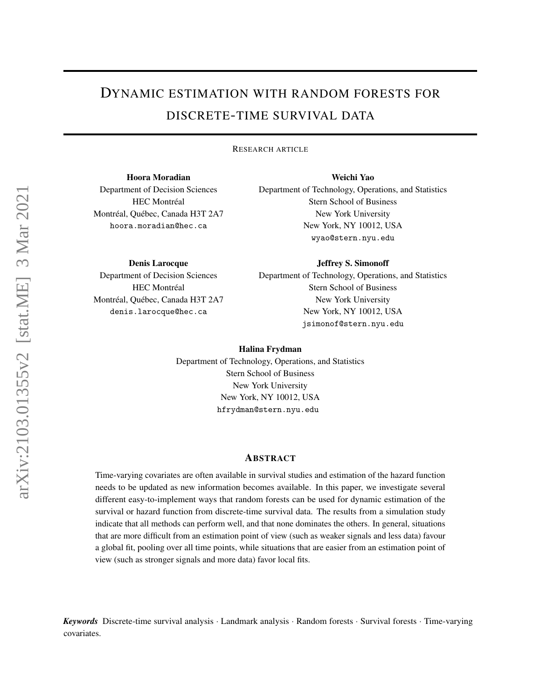# <span id="page-0-0"></span>DYNAMIC ESTIMATION WITH RANDOM FORESTS FOR DISCRETE-TIME SURVIVAL DATA

RESEARCH ARTICLE

Hoora Moradian Department of Decision Sciences HEC Montréal Montréal, Québec, Canada H3T 2A7 hoora.moradian@hec.ca

Weichi Yao Department of Technology, Operations, and Statistics Stern School of Business New York University New York, NY 10012, USA wyao@stern.nyu.edu

Denis Larocque

Department of Decision Sciences HEC Montréal Montréal, Québec, Canada H3T 2A7 denis.larocque@hec.ca

Jeffrey S. Simonoff

Department of Technology, Operations, and Statistics Stern School of Business New York University New York, NY 10012, USA jsimonof@stern.nyu.edu

#### Halina Frydman

Department of Technology, Operations, and Statistics Stern School of Business New York University New York, NY 10012, USA hfrydman@stern.nyu.edu

#### ABSTRACT

Time-varying covariates are often available in survival studies and estimation of the hazard function needs to be updated as new information becomes available. In this paper, we investigate several different easy-to-implement ways that random forests can be used for dynamic estimation of the survival or hazard function from discrete-time survival data. The results from a simulation study indicate that all methods can perform well, and that none dominates the others. In general, situations that are more difficult from an estimation point of view (such as weaker signals and less data) favour a global fit, pooling over all time points, while situations that are easier from an estimation point of view (such as stronger signals and more data) favor local fits.

*Keywords* Discrete-time survival analysis · Landmark analysis · Random forests · Survival forests · Time-varying covariates.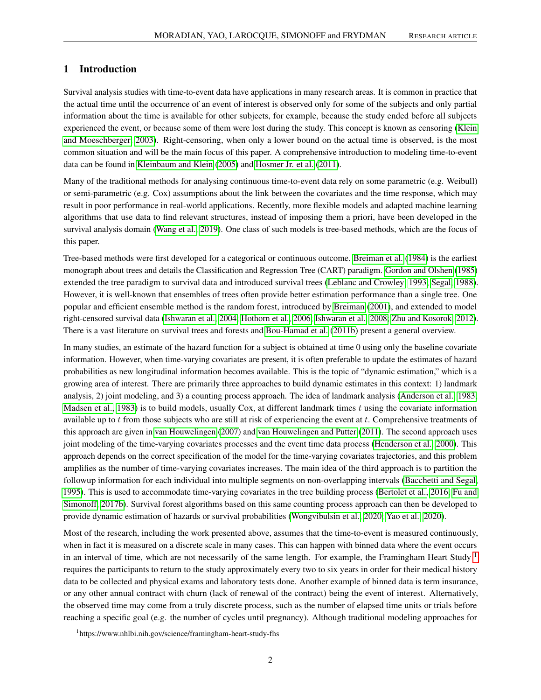## 1 Introduction

Survival analysis studies with time-to-event data have applications in many research areas. It is common in practice that the actual time until the occurrence of an event of interest is observed only for some of the subjects and only partial information about the time is available for other subjects, for example, because the study ended before all subjects experienced the event, or because some of them were lost during the study. This concept is known as censoring [\(Klein](#page-13-0) [and Moeschberger, 2003\)](#page-13-0). Right-censoring, when only a lower bound on the actual time is observed, is the most common situation and will be the main focus of this paper. A comprehensive introduction to modeling time-to-event data can be found in [Kleinbaum and Klein](#page-14-0) [\(2005\)](#page-14-0) and [Hosmer Jr. et al.](#page-13-1) [\(2011\)](#page-13-1).

Many of the traditional methods for analysing continuous time-to-event data rely on some parametric (e.g. Weibull) or semi-parametric (e.g. Cox) assumptions about the link between the covariates and the time response, which may result in poor performance in real-world applications. Recently, more flexible models and adapted machine learning algorithms that use data to find relevant structures, instead of imposing them a priori, have been developed in the survival analysis domain [\(Wang et al., 2019\)](#page-14-1). One class of such models is tree-based methods, which are the focus of this paper.

Tree-based methods were first developed for a categorical or continuous outcome. [Breiman et al.](#page-13-2) [\(1984\)](#page-13-2) is the earliest monograph about trees and details the Classification and Regression Tree (CART) paradigm. [Gordon and Olshen](#page-13-3) [\(1985\)](#page-13-3) extended the tree paradigm to survival data and introduced survival trees [\(Leblanc and Crowley, 1993;](#page-14-2) [Segal, 1988\)](#page-14-3). However, it is well-known that ensembles of trees often provide better estimation performance than a single tree. One popular and efficient ensemble method is the random forest, introduced by [Breiman](#page-13-4) [\(2001\)](#page-13-4), and extended to model right-censored survival data [\(Ishwaran et al., 2004;](#page-13-5) [Hothorn et al., 2006;](#page-13-6) [Ishwaran et al., 2008;](#page-13-7) [Zhu and Kosorok, 2012\)](#page-14-4). There is a vast literature on survival trees and forests and [Bou-Hamad et al.](#page-13-8) [\(2011b\)](#page-13-8) present a general overview.

In many studies, an estimate of the hazard function for a subject is obtained at time 0 using only the baseline covariate information. However, when time-varying covariates are present, it is often preferable to update the estimates of hazard probabilities as new longitudinal information becomes available. This is the topic of "dynamic estimation," which is a growing area of interest. There are primarily three approaches to build dynamic estimates in this context: 1) landmark analysis, 2) joint modeling, and 3) a counting process approach. The idea of landmark analysis [\(Anderson et al., 1983;](#page-12-0) [Madsen et al., 1983\)](#page-14-5) is to build models, usually Cox, at different landmark times  $t$  using the covariate information available up to  $t$  from those subjects who are still at risk of experiencing the event at  $t$ . Comprehensive treatments of this approach are given in [van Houwelingen](#page-14-6) [\(2007\)](#page-14-6) and [van Houwelingen and Putter](#page-14-7) [\(2011\)](#page-14-7). The second approach uses joint modeling of the time-varying covariates processes and the event time data process [\(Henderson et al., 2000\)](#page-13-9). This approach depends on the correct specification of the model for the time-varying covariates trajectories, and this problem amplifies as the number of time-varying covariates increases. The main idea of the third approach is to partition the followup information for each individual into multiple segments on non-overlapping intervals [\(Bacchetti and Segal,](#page-13-10) [1995\)](#page-13-10). This is used to accommodate time-varying covariates in the tree building process [\(Bertolet et al., 2016;](#page-13-11) [Fu and](#page-13-12) [Simonoff, 2017b\)](#page-13-12). Survival forest algorithms based on this same counting process approach can then be developed to provide dynamic estimation of hazards or survival probabilities [\(Wongvibulsin et al., 2020;](#page-14-8) [Yao et al., 2020\)](#page-14-9).

Most of the research, including the work presented above, assumes that the time-to-event is measured continuously, when in fact it is measured on a discrete scale in many cases. This can happen with binned data where the event occurs in an interval of time, which are not necessarily of the same length. For example, the Framingham Heart Study  $\frac{1}{1}$  $\frac{1}{1}$  $\frac{1}{1}$ requires the participants to return to the study approximately every two to six years in order for their medical history data to be collected and physical exams and laboratory tests done. Another example of binned data is term insurance, or any other annual contract with churn (lack of renewal of the contract) being the event of interest. Alternatively, the observed time may come from a truly discrete process, such as the number of elapsed time units or trials before reaching a specific goal (e.g. the number of cycles until pregnancy). Although traditional modeling approaches for

<sup>1</sup> https://www.nhlbi.nih.gov/science/framingham-heart-study-fhs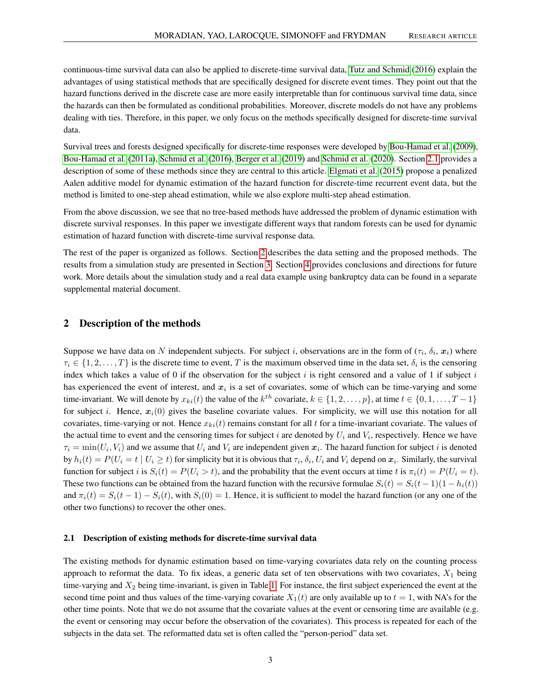continuous-time survival data can also be applied to discrete-time survival data, [Tutz and Schmid](#page-14-10) [\(2016\)](#page-14-10) explain the advantages of using statistical methods that are specifically designed for discrete event times. They point out that the hazard functions derived in the discrete case are more easily interpretable than for continuous survival time data, since the hazards can then be formulated as conditional probabilities. Moreover, discrete models do not have any problems dealing with ties. Therefore, in this paper, we only focus on the methods specifically designed for discrete-time survival data.

Survival trees and forests designed specifically for discrete-time responses were developed by [Bou-Hamad et al.](#page-13-13) [\(2009\)](#page-13-13), [Bou-Hamad et al.](#page-13-14) [\(2011a\)](#page-13-14), [Schmid et al.](#page-14-11) [\(2016\)](#page-14-11), [Berger et al.](#page-13-15) [\(2019\)](#page-13-15) and [Schmid et al.](#page-14-12) [\(2020\)](#page-14-12). Section [2.1](#page-2-0) provides a description of some of these methods since they are central to this article. [Elgmati et al.](#page-13-16) [\(2015\)](#page-13-16) propose a penalized Aalen additive model for dynamic estimation of the hazard function for discrete-time recurrent event data, but the method is limited to one-step ahead estimation, while we also explore multi-step ahead estimation.

From the above discussion, we see that no tree-based methods have addressed the problem of dynamic estimation with discrete survival responses. In this paper we investigate different ways that random forests can be used for dynamic estimation of hazard function with discrete-time survival response data.

The rest of the paper is organized as follows. Section [2](#page-2-1) describes the data setting and the proposed methods. The results from a simulation study are presented in Section [3.](#page-7-0) Section [4](#page-11-0) provides conclusions and directions for future work. More details about the simulation study and a real data example using bankruptcy data can be found in a separate supplemental material document.

## <span id="page-2-1"></span>2 Description of the methods

Suppose we have data on N independent subjects. For subject i, observations are in the form of  $(\tau_i, \delta_i, x_i)$  where  $\tau_i \in \{1, 2, \ldots, T\}$  is the discrete time to event, T is the maximum observed time in the data set,  $\delta_i$  is the censoring index which takes a value of 0 if the observation for the subject i is right censored and a value of 1 if subject i has experienced the event of interest, and  $x_i$  is a set of covariates, some of which can be time-varying and some time-invariant. We will denote by  $x_{ki}(t)$  the value of the  $k^{th}$  covariate,  $k \in \{1, 2, ..., p\}$ , at time  $t \in \{0, 1, ..., T-1\}$ for subject i. Hence,  $x_i(0)$  gives the baseline covariate values. For simplicity, we will use this notation for all covariates, time-varying or not. Hence  $x_{ki}(t)$  remains constant for all t for a time-invariant covariate. The values of the actual time to event and the censoring times for subject  $i$  are denoted by  $U_i$  and  $V_i$ , respectively. Hence we have  $\tau_i = \min(U_i, V_i)$  and we assume that  $U_i$  and  $V_i$  are independent given  $x_i$ . The hazard function for subject i is denoted by  $h_i(t) = P(U_i = t \mid U_i \ge t)$  for simplicity but it is obvious that  $\tau_i$ ,  $\delta_i$ ,  $U_i$  and  $V_i$  depend on  $x_i$ . Similarly, the survival function for subject i is  $S_i(t) = P(U_i > t)$ , and the probability that the event occurs at time t is  $\pi_i(t) = P(U_i = t)$ . These two functions can be obtained from the hazard function with the recursive formulae  $S_i(t) = S_i(t-1)(1-h_i(t))$ and  $\pi_i(t) = S_i(t-1) - S_i(t)$ , with  $S_i(0) = 1$ . Hence, it is sufficient to model the hazard function (or any one of the other two functions) to recover the other ones.

#### <span id="page-2-0"></span>2.1 Description of existing methods for discrete-time survival data

The existing methods for dynamic estimation based on time-varying covariates data rely on the counting process approach to reformat the data. To fix ideas, a generic data set of ten observations with two covariates,  $X_1$  being time-varying and  $X_2$  being time-invariant, is given in Table [1.](#page-3-0) For instance, the first subject experienced the event at the second time point and thus values of the time-varying covariate  $X_1(t)$  are only available up to  $t = 1$ , with NA's for the other time points. Note that we do not assume that the covariate values at the event or censoring time are available (e.g. the event or censoring may occur before the observation of the covariates). This process is repeated for each of the subjects in the data set. The reformatted data set is often called the "person-period" data set.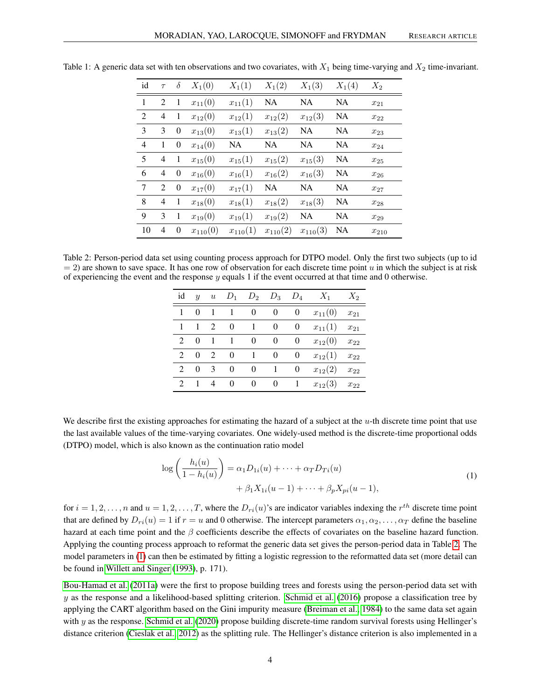| id             | $\tau$ | $\delta$         | $X_1(0)$     | $X_1(1)$     | $X_1(2)$     | $X_1(3)$     | $X_1(4)$  | $X_2$         |
|----------------|--------|------------------|--------------|--------------|--------------|--------------|-----------|---------------|
| $\mathbf{1}$   | 2      | 1                | $x_{11}(0)$  | $x_{11}(1)$  | NA           | <b>NA</b>    | NA        | $x_{21}$      |
| $\overline{2}$ | 4      | 1                | $x_{12}(0)$  | $x_{12}(1)$  | $x_{12}(2)$  | $x_{12}(3)$  | <b>NA</b> | $x_{22}$      |
| 3              | 3      | $\boldsymbol{0}$ | $x_{13}(0)$  | $x_{13}(1)$  | $x_{13}(2)$  | <b>NA</b>    | NA        | $x_{23}$      |
| $\overline{4}$ | 1      | $\boldsymbol{0}$ | $x_{14}(0)$  | <b>NA</b>    | NA           | <b>NA</b>    | NA        | $x_{24}$      |
| 5              | 4      | 1                | $x_{15}(0)$  | $x_{15}(1)$  | $x_{15}(2)$  | $x_{15}(3)$  | <b>NA</b> | $x_{25}$      |
| 6              | 4      | $\boldsymbol{0}$ | $x_{16}(0)$  | $x_{16}(1)$  | $x_{16}(2)$  | $x_{16}(3)$  | NA        | $x_{\rm 26}$  |
| 7              | 2      | $\boldsymbol{0}$ | $x_{17}(0)$  | $x_{17}(1)$  | <b>NA</b>    | <b>NA</b>    | <b>NA</b> | $x_{27}$      |
| 8              | 4      | 1                | $x_{18}(0)$  | $x_{18}(1)$  | $x_{18}(2)$  | $x_{18}(3)$  | NA        | $x_{28}$      |
| 9              | 3      | 1                | $x_{19}(0)$  | $x_{19}(1)$  | $x_{19}(2)$  | <b>NA</b>    | NA        | $x_{29}$      |
| 10             | 4      | $\boldsymbol{0}$ | $x_{110}(0)$ | $x_{110}(1)$ | $x_{110}(2)$ | $x_{110}(3)$ | NA        | $x_{\rm 210}$ |

<span id="page-3-0"></span>Table 1: A generic data set with ten observations and two covariates, with  $X_1$  being time-varying and  $X_2$  time-invariant.

<span id="page-3-1"></span>Table 2: Person-period data set using counting process approach for DTPO model. Only the first two subjects (up to id  $= 2$ ) are shown to save space. It has one row of observation for each discrete time point u in which the subject is at risk of experiencing the event and the response  $y$  equals 1 if the event occurred at that time and 0 otherwise.

| id             | $\boldsymbol{y}$ | $\boldsymbol{u}$            | $D_1$    | $D_2$        | $D_3$    | $D_4$    | $X_1$       | $X_2$    |
|----------------|------------------|-----------------------------|----------|--------------|----------|----------|-------------|----------|
|                | $\Omega$         |                             |          | 0            | 0        |          | $x_{11}(0)$ | $x_{21}$ |
| 1              | 1                | $\mathfrak{D}$              | $\theta$ | 1            | 0        | 0        | $x_{11}(1)$ | $x_{21}$ |
| $2^{\circ}$    | $\Omega$         |                             |          | 0            | 0        | $^{(1)}$ | $x_{12}(0)$ | $x_{22}$ |
| $\mathcal{L}$  | $\Omega$         | $\mathcal{D}_{\mathcal{L}}$ | $\Omega$ | $\mathbf{1}$ | $\theta$ | 0        | $x_{12}(1)$ | $x_{22}$ |
| $\mathcal{L}$  | $\Omega$         | $\mathcal{E}$               | 0        | 0            |          | 0        | $x_{12}(2)$ | $x_{22}$ |
| $\mathfrak{D}$ |                  | $\overline{4}$              | $\Omega$ | 0            | $\theta$ |          | $x_{12}(3)$ | $x_{22}$ |

We describe first the existing approaches for estimating the hazard of a subject at the u-th discrete time point that use the last available values of the time-varying covariates. One widely-used method is the discrete-time proportional odds (DTPO) model, which is also known as the continuation ratio model

<span id="page-3-2"></span>
$$
\log\left(\frac{h_i(u)}{1 - h_i(u)}\right) = \alpha_1 D_{1i}(u) + \dots + \alpha_T D_{Ti}(u) + \beta_1 X_{1i}(u - 1) + \dots + \beta_p X_{pi}(u - 1),
$$
\n(1)

for  $i = 1, 2, \ldots, n$  and  $u = 1, 2, \ldots, T$ , where the  $D_{ri}(u)$ 's are indicator variables indexing the  $r^{th}$  discrete time point that are defined by  $D_{ri}(u) = 1$  if  $r = u$  and 0 otherwise. The intercept parameters  $\alpha_1, \alpha_2, \ldots, \alpha_T$  define the baseline hazard at each time point and the  $\beta$  coefficients describe the effects of covariates on the baseline hazard function. Applying the counting process approach to reformat the generic data set gives the person-period data in Table [2.](#page-3-1) The model parameters in [\(1\)](#page-3-2) can then be estimated by fitting a logistic regression to the reformatted data set (more detail can be found in [Willett and Singer](#page-14-13) [\(1993\)](#page-14-13), p. 171).

[Bou-Hamad et al.](#page-13-14) [\(2011a\)](#page-13-14) were the first to propose building trees and forests using the person-period data set with  $y$  as the response and a likelihood-based splitting criterion. [Schmid et al.](#page-14-11) [\(2016\)](#page-14-11) propose a classification tree by applying the CART algorithm based on the Gini impurity measure [\(Breiman et al., 1984\)](#page-13-2) to the same data set again with  $y$  as the response. [Schmid et al.](#page-14-12) [\(2020\)](#page-14-12) propose building discrete-time random survival forests using Hellinger's distance criterion [\(Cieslak et al., 2012\)](#page-13-17) as the splitting rule. The Hellinger's distance criterion is also implemented in a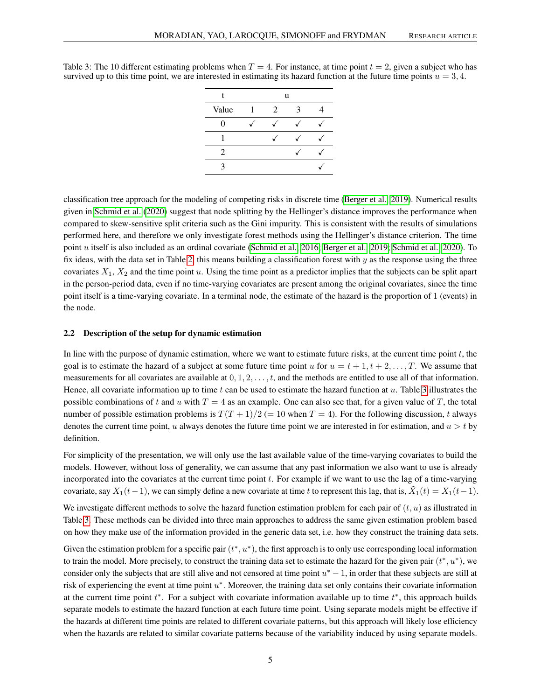| t     |   | u |   |  |  |  |
|-------|---|---|---|--|--|--|
| Value | 1 | 2 | 3 |  |  |  |
| 0     |   |   |   |  |  |  |
|       |   |   |   |  |  |  |
| 2     |   |   |   |  |  |  |
| 3     |   |   |   |  |  |  |

<span id="page-4-0"></span>Table 3: The 10 different estimating problems when  $T = 4$ . For instance, at time point  $t = 2$ , given a subject who has survived up to this time point, we are interested in estimating its hazard function at the future time points  $u = 3, 4$ .

classification tree approach for the modeling of competing risks in discrete time [\(Berger et al., 2019\)](#page-13-15). Numerical results given in [Schmid et al.](#page-14-12) [\(2020\)](#page-14-12) suggest that node splitting by the Hellinger's distance improves the performance when compared to skew-sensitive split criteria such as the Gini impurity. This is consistent with the results of simulations performed here, and therefore we only investigate forest methods using the Hellinger's distance criterion. The time point u itself is also included as an ordinal covariate [\(Schmid et al., 2016;](#page-14-11) [Berger et al., 2019;](#page-13-15) [Schmid et al., 2020\)](#page-14-12). To fix ideas, with the data set in Table [2,](#page-3-1) this means building a classification forest with  $y$  as the response using the three covariates  $X_1, X_2$  and the time point u. Using the time point as a predictor implies that the subjects can be split apart in the person-period data, even if no time-varying covariates are present among the original covariates, since the time point itself is a time-varying covariate. In a terminal node, the estimate of the hazard is the proportion of 1 (events) in the node.

#### 2.2 Description of the setup for dynamic estimation

In line with the purpose of dynamic estimation, where we want to estimate future risks, at the current time point  $t$ , the goal is to estimate the hazard of a subject at some future time point u for  $u = t + 1, t + 2, \ldots, T$ . We assume that measurements for all covariates are available at  $0, 1, 2, \ldots, t$ , and the methods are entitled to use all of that information. Hence, all covariate information up to time t can be used to estimate the hazard function at  $u$ . Table [3](#page-4-0) illustrates the possible combinations of t and u with  $T = 4$  as an example. One can also see that, for a given value of T, the total number of possible estimation problems is  $T(T + 1)/2$  (= 10 when  $T = 4$ ). For the following discussion, t always denotes the current time point, u always denotes the future time point we are interested in for estimation, and  $u > t$  by definition.

For simplicity of the presentation, we will only use the last available value of the time-varying covariates to build the models. However, without loss of generality, we can assume that any past information we also want to use is already incorporated into the covariates at the current time point  $t$ . For example if we want to use the lag of a time-varying covariate, say  $X_1(t-1)$ , we can simply define a new covariate at time t to represent this lag, that is,  $\tilde{X}_1(t) = X_1(t-1)$ .

We investigate different methods to solve the hazard function estimation problem for each pair of  $(t, u)$  as illustrated in Table [3.](#page-4-0) These methods can be divided into three main approaches to address the same given estimation problem based on how they make use of the information provided in the generic data set, i.e. how they construct the training data sets.

Given the estimation problem for a specific pair  $(t^*, u^*)$ , the first approach is to only use corresponding local information to train the model. More precisely, to construct the training data set to estimate the hazard for the given pair  $(t^*, u^*)$ , we consider only the subjects that are still alive and not censored at time point  $u^* - 1$ , in order that these subjects are still at risk of experiencing the event at time point  $u^*$ . Moreover, the training data set only contains their covariate information at the current time point  $t^*$ . For a subject with covariate information available up to time  $t^*$ , this approach builds separate models to estimate the hazard function at each future time point. Using separate models might be effective if the hazards at different time points are related to different covariate patterns, but this approach will likely lose efficiency when the hazards are related to similar covariate patterns because of the variability induced by using separate models.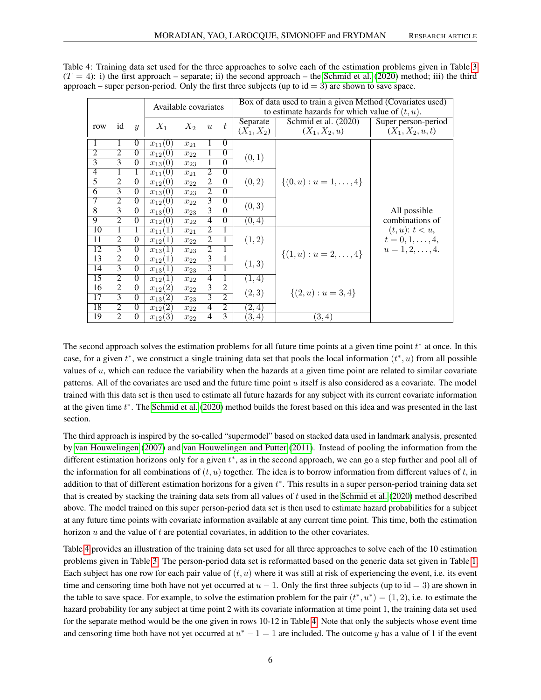|                 |                |                  |                      |          |                  |                |                                                   | Box of data used to train a given Method (Covariates used) |                        |  |  |
|-----------------|----------------|------------------|----------------------|----------|------------------|----------------|---------------------------------------------------|------------------------------------------------------------|------------------------|--|--|
|                 |                |                  | Available covariates |          |                  |                | to estimate hazards for which value of $(t, u)$ . |                                                            |                        |  |  |
| row             | id             | $\boldsymbol{y}$ | $X_1$                | $X_2$    | $\boldsymbol{u}$ | t              | Separate                                          | Schmid et al. (2020)                                       | Super person-period    |  |  |
|                 |                |                  |                      |          |                  |                | $(X_1, X_2)$                                      | $(X_1, X_2, u)$                                            | $(X_1, X_2, u, t)$     |  |  |
| 1               |                | $\theta$         | $x_{11}(0)$          | $x_{21}$ | 1                | $\Omega$       |                                                   |                                                            |                        |  |  |
| $\overline{2}$  | $\overline{2}$ | $\theta$         | $x_{12}(0)$          | $x_{22}$ | 1                | $\theta$       | (0,1)                                             |                                                            |                        |  |  |
| $\overline{3}$  | $\overline{3}$ | $\overline{0}$   | $x_{13}(0)$          | $x_{23}$ | 1                | $\overline{0}$ |                                                   |                                                            |                        |  |  |
| $\overline{4}$  | 1              | 1                | $x_{11}(0)$          | $x_{21}$ | $\overline{2}$   | $\theta$       |                                                   |                                                            |                        |  |  |
| $\overline{5}$  | $\overline{2}$ | $\Omega$         | $x_{12}(0)$          | $x_{22}$ | $\overline{2}$   | $\overline{0}$ | (0, 2)                                            | $\{(0, u): u = 1, \ldots, 4\}$                             |                        |  |  |
| $\overline{6}$  | $\overline{3}$ | $\overline{0}$   | $x_{13}(0)$          | $x_{23}$ | $\overline{2}$   | $\overline{0}$ |                                                   |                                                            |                        |  |  |
| 7               | $\overline{2}$ | $\theta$         | $x_{12}(0)$          | $x_{22}$ | $\overline{3}$   | $\theta$       | (0, 3)                                            |                                                            |                        |  |  |
| $\overline{8}$  | $\overline{3}$ | $\Omega$         | $x_{13}(0)$          | $x_{23}$ | $\overline{3}$   | $\overline{0}$ |                                                   |                                                            | All possible           |  |  |
| 9               | $\overline{2}$ | $\Omega$         | $x_{12}(0)$          | $x_{22}$ | 4                | $\overline{0}$ | (0,4)                                             |                                                            | combinations of        |  |  |
| 10              | 1              | 1                | $\perp$<br>$x_{11}$  | $x_{21}$ | $\overline{2}$   | 1              |                                                   |                                                            | $(t, u)$ : $t < u$ ,   |  |  |
| 11              | $\overline{2}$ | $\theta$         | $x_{12}$<br>$\Box$   | $x_{22}$ | $\overline{2}$   | 1              | (1, 2)                                            |                                                            | $t = 0, 1, \ldots, 4,$ |  |  |
| 12              | 3              | $\Omega$         | $x_{13}(1)$          | $x_{23}$ | $\overline{2}$   |                |                                                   | $\{(1, u): u = 2, \ldots, 4\}$                             | $u = 1, 2, \ldots, 4.$ |  |  |
| 13              | $\overline{2}$ | $\Omega$         | $x_{12}(1)$          | $x_{22}$ | $\overline{3}$   | 1              | (1, 3)                                            |                                                            |                        |  |  |
| 14              | $\overline{3}$ | $\Omega$         | $x_{13}(1)$          | $x_{23}$ | $\overline{3}$   | $\overline{1}$ |                                                   |                                                            |                        |  |  |
| 15              | $\overline{2}$ | $\Omega$         | $x_{12}(1)$          | $x_{22}$ | $\overline{4}$   | 1              | (1, 4)                                            |                                                            |                        |  |  |
| 16              | $\overline{2}$ | $\overline{0}$   | $x_{12}(2)$          | $x_{22}$ | 3                | $\overline{2}$ | (2, 3)                                            | $\{(2, u): u = 3, 4\}$                                     |                        |  |  |
| $\overline{17}$ | 3              | $\Omega$         | $x_{13}(2)$          | $x_{23}$ | 3                | $\overline{2}$ |                                                   |                                                            |                        |  |  |
| 18              | $\overline{2}$ | $\theta$         | $x_{12}(2)$          | $x_{22}$ | 4                | $\overline{2}$ | (2, 4)                                            |                                                            |                        |  |  |
| 19              | $\overline{2}$ | $\theta$         | $x_{12}(3)$          | $x_{22}$ | 4                | 3              | (3, 4)                                            | (3,4)                                                      |                        |  |  |

<span id="page-5-0"></span>Table 4: Training data set used for the three approaches to solve each of the estimation problems given in Table [3](#page-4-0)  $(T = 4)$ : i) the first approach – separate; ii) the second approach – the [Schmid et al.](#page-14-12) [\(2020\)](#page-14-12) method; iii) the third approach – super person-period. Only the first three subjects (up to  $id = 3$ ) are shown to save space.

The second approach solves the estimation problems for all future time points at a given time point  $t^*$  at once. In this case, for a given  $t^*$ , we construct a single training data set that pools the local information  $(t^*, u)$  from all possible values of  $u$ , which can reduce the variability when the hazards at a given time point are related to similar covariate patterns. All of the covariates are used and the future time point  $u$  itself is also considered as a covariate. The model trained with this data set is then used to estimate all future hazards for any subject with its current covariate information at the given time  $t^*$ . The [Schmid et al.](#page-14-12) [\(2020\)](#page-14-12) method builds the forest based on this idea and was presented in the last section.

The third approach is inspired by the so-called "supermodel" based on stacked data used in landmark analysis, presented by [van Houwelingen](#page-14-6) [\(2007\)](#page-14-6) and [van Houwelingen and Putter](#page-14-7) [\(2011\)](#page-14-7). Instead of pooling the information from the different estimation horizons only for a given  $t^*$ , as in the second approach, we can go a step further and pool all of the information for all combinations of  $(t, u)$  together. The idea is to borrow information from different values of  $t$ , in addition to that of different estimation horizons for a given  $t^*$ . This results in a super person-period training data set that is created by stacking the training data sets from all values of  $t$  used in the [Schmid et al.](#page-14-12) [\(2020\)](#page-14-12) method described above. The model trained on this super person-period data set is then used to estimate hazard probabilities for a subject at any future time points with covariate information available at any current time point. This time, both the estimation horizon  $u$  and the value of  $t$  are potential covariates, in addition to the other covariates.

Table [4](#page-5-0) provides an illustration of the training data set used for all three approaches to solve each of the 10 estimation problems given in Table [3.](#page-4-0) The person-period data set is reformatted based on the generic data set given in Table [1.](#page-3-0) Each subject has one row for each pair value of  $(t, u)$  where it was still at risk of experiencing the event, i.e. its event time and censoring time both have not yet occurred at  $u - 1$ . Only the first three subjects (up to id = 3) are shown in the table to save space. For example, to solve the estimation problem for the pair  $(t^*, u^*) = (1, 2)$ , i.e. to estimate the hazard probability for any subject at time point 2 with its covariate information at time point 1, the training data set used for the separate method would be the one given in rows 10-12 in Table [4.](#page-5-0) Note that only the subjects whose event time and censoring time both have not yet occurred at  $u^* - 1 = 1$  are included. The outcome y has a value of 1 if the event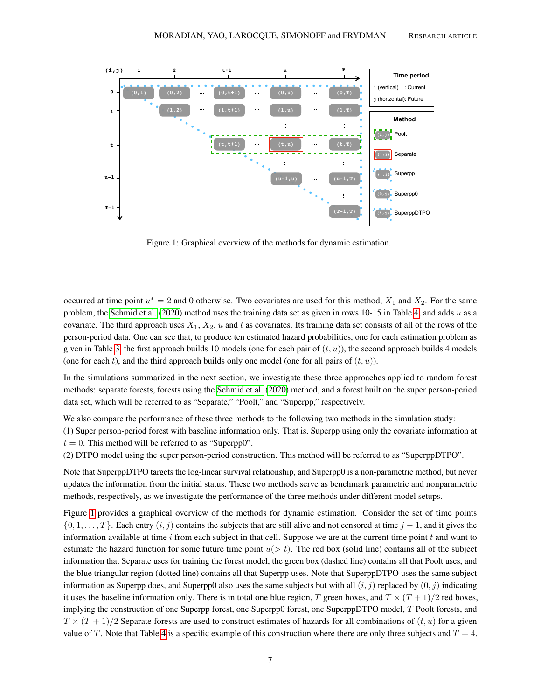

<span id="page-6-0"></span>Figure 1: Graphical overview of the methods for dynamic estimation.

occurred at time point  $u^* = 2$  and 0 otherwise. Two covariates are used for this method,  $X_1$  and  $X_2$ . For the same problem, the [Schmid et al.](#page-14-12) [\(2020\)](#page-14-12) method uses the training data set as given in rows 10-15 in Table [4,](#page-5-0) and adds u as a covariate. The third approach uses  $X_1, X_2, u$  and t as covariates. Its training data set consists of all of the rows of the person-period data. One can see that, to produce ten estimated hazard probabilities, one for each estimation problem as given in Table [3,](#page-4-0) the first approach builds 10 models (one for each pair of  $(t, u)$ ), the second approach builds 4 models (one for each t), and the third approach builds only one model (one for all pairs of  $(t, u)$ ).

In the simulations summarized in the next section, we investigate these three approaches applied to random forest methods: separate forests, forests using the [Schmid et al.](#page-14-12) [\(2020\)](#page-14-12) method, and a forest built on the super person-period data set, which will be referred to as "Separate," "Poolt," and "Superpp," respectively.

We also compare the performance of these three methods to the following two methods in the simulation study:

(1) Super person-period forest with baseline information only. That is, Superpp using only the covariate information at  $t = 0$ . This method will be referred to as "Superpp0".

(2) DTPO model using the super person-period construction. This method will be referred to as "SuperppDTPO".

Note that SuperppDTPO targets the log-linear survival relationship, and Superpp0 is a non-parametric method, but never updates the information from the initial status. These two methods serve as benchmark parametric and nonparametric methods, respectively, as we investigate the performance of the three methods under different model setups.

Figure [1](#page-6-0) provides a graphical overview of the methods for dynamic estimation. Consider the set of time points  $\{0, 1, \ldots, T\}$ . Each entry  $(i, j)$  contains the subjects that are still alive and not censored at time  $j - 1$ , and it gives the information available at time  $i$  from each subject in that cell. Suppose we are at the current time point  $t$  and want to estimate the hazard function for some future time point  $u(> t)$ . The red box (solid line) contains all of the subject information that Separate uses for training the forest model, the green box (dashed line) contains all that Poolt uses, and the blue triangular region (dotted line) contains all that Superpp uses. Note that SuperppDTPO uses the same subject information as Superpp does, and Superpp0 also uses the same subjects but with all  $(i, j)$  replaced by  $(0, j)$  indicating it uses the baseline information only. There is in total one blue region, T green boxes, and  $T \times (T + 1)/2$  red boxes, implying the construction of one Superpp forest, one Superpp0 forest, one SuperppDTPO model, T Poolt forests, and  $T \times (T + 1)/2$  Separate forests are used to construct estimates of hazards for all combinations of  $(t, u)$  for a given value of T. Note that Table [4](#page-5-0) is a specific example of this construction where there are only three subjects and  $T = 4$ .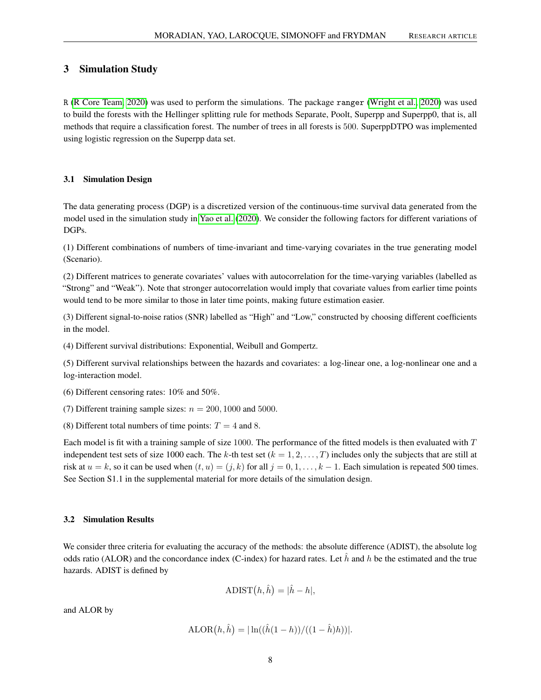## <span id="page-7-0"></span>3 Simulation Study

R [\(R Core Team, 2020\)](#page-14-14) was used to perform the simulations. The package ranger [\(Wright et al., 2020\)](#page-14-15) was used to build the forests with the Hellinger splitting rule for methods Separate, Poolt, Superpp and Superpp0, that is, all methods that require a classification forest. The number of trees in all forests is 500. SuperppDTPO was implemented using logistic regression on the Superpp data set.

## 3.1 Simulation Design

The data generating process (DGP) is a discretized version of the continuous-time survival data generated from the model used in the simulation study in [Yao et al.](#page-14-9) [\(2020\)](#page-14-9). We consider the following factors for different variations of DGPs.

(1) Different combinations of numbers of time-invariant and time-varying covariates in the true generating model (Scenario).

(2) Different matrices to generate covariates' values with autocorrelation for the time-varying variables (labelled as "Strong" and "Weak"). Note that stronger autocorrelation would imply that covariate values from earlier time points would tend to be more similar to those in later time points, making future estimation easier.

(3) Different signal-to-noise ratios (SNR) labelled as "High" and "Low," constructed by choosing different coefficients in the model.

(4) Different survival distributions: Exponential, Weibull and Gompertz.

(5) Different survival relationships between the hazards and covariates: a log-linear one, a log-nonlinear one and a log-interaction model.

(6) Different censoring rates: 10% and 50%.

(7) Different training sample sizes:  $n = 200, 1000$  and 5000.

(8) Different total numbers of time points:  $T = 4$  and 8.

Each model is fit with a training sample of size 1000. The performance of the fitted models is then evaluated with T independent test sets of size 1000 each. The k-th test set  $(k = 1, 2, \ldots, T)$  includes only the subjects that are still at risk at  $u = k$ , so it can be used when  $(t, u) = (j, k)$  for all  $j = 0, 1, ..., k - 1$ . Each simulation is repeated 500 times. See Section S1.1 in the supplemental material for more details of the simulation design.

#### 3.2 Simulation Results

We consider three criteria for evaluating the accuracy of the methods: the absolute difference (ADIST), the absolute log odds ratio (ALOR) and the concordance index (C-index) for hazard rates. Let  $\hat{h}$  and h be the estimated and the true hazards. ADIST is defined by

$$
ADIST(h, \hat{h}) = |\hat{h} - h|,
$$

and ALOR by

$$
ALOR(h, \hat{h}) = | \ln((\hat{h}(1-h)) / ((1 - \hat{h})h)) |.
$$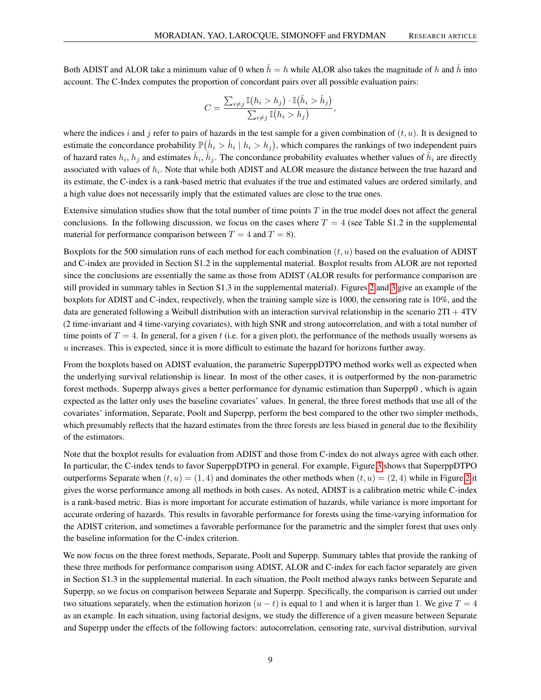Both ADIST and ALOR take a minimum value of 0 when  $\hat{h} = h$  while ALOR also takes the magnitude of h and  $\hat{h}$  into account. The C-Index computes the proportion of concordant pairs over all possible evaluation pairs:

$$
C = \frac{\sum_{i \neq j} \mathbb{I}(h_i > h_j) \cdot \mathbb{I}(\hat{h}_i > \hat{h}_j)}{\sum_{i \neq j} \mathbb{I}(h_i > h_j)},
$$

where the indices i and j refer to pairs of hazards in the test sample for a given combination of  $(t, u)$ . It is designed to estimate the concordance probability  $\mathbb{P}(\hat{h}_i > \hat{h}_i \mid h_i > h_j)$ , which compares the rankings of two independent pairs of hazard rates  $h_i$ ,  $h_j$  and estimates  $\hat{h}_i$ ,  $\hat{h}_j$ . The concordance probability evaluates whether values of  $\hat{h}_i$  are directly associated with values of  $h_i$ . Note that while both ADIST and ALOR measure the distance between the true hazard and its estimate, the C-index is a rank-based metric that evaluates if the true and estimated values are ordered similarly, and a high value does not necessarily imply that the estimated values are close to the true ones.

Extensive simulation studies show that the total number of time points  $T$  in the true model does not affect the general conclusions. In the following discussion, we focus on the cases where  $T = 4$  (see Table S1.2 in the supplemental material for performance comparison between  $T = 4$  and  $T = 8$ ).

Boxplots for the 500 simulation runs of each method for each combination  $(t, u)$  based on the evaluation of ADIST and C-index are provided in Section S1.2 in the supplemental material. Boxplot results from ALOR are not reported since the conclusions are essentially the same as those from ADIST (ALOR results for performance comparison are still provided in summary tables in Section S1.3 in the supplemental material). Figures [2](#page-9-0) and [3](#page-10-0) give an example of the boxplots for ADIST and C-index, respectively, when the training sample size is 1000, the censoring rate is 10%, and the data are generated following a Weibull distribution with an interaction survival relationship in the scenario  $2T1 + 4TV$ (2 time-invariant and 4 time-varying covariates), with high SNR and strong autocorrelation, and with a total number of time points of  $T = 4$ . In general, for a given t (i.e. for a given plot), the performance of the methods usually worsens as  $u$  increases. This is expected, since it is more difficult to estimate the hazard for horizons further away.

From the boxplots based on ADIST evaluation, the parametric SuperppDTPO method works well as expected when the underlying survival relationship is linear. In most of the other cases, it is outperformed by the non-parametric forest methods. Superpp always gives a better performance for dynamic estimation than Superpp0 , which is again expected as the latter only uses the baseline covariates' values. In general, the three forest methods that use all of the covariates' information, Separate, Poolt and Superpp, perform the best compared to the other two simpler methods, which presumably reflects that the hazard estimates from the three forests are less biased in general due to the flexibility of the estimators.

Note that the boxplot results for evaluation from ADIST and those from C-index do not always agree with each other. In particular, the C-index tends to favor SuperppDTPO in general. For example, Figure [3](#page-10-0) shows that SuperppDTPO outperforms Separate when  $(t, u) = (1, 4)$  and dominates the other methods when  $(t, u) = (2, 4)$  while in Figure [2](#page-9-0) it gives the worse performance among all methods in both cases. As noted, ADIST is a calibration metric while C-index is a rank-based metric. Bias is more important for accurate estimation of hazards, while variance is more important for accurate ordering of hazards. This results in favorable performance for forests using the time-varying information for the ADIST criterion, and sometimes a favorable performance for the parametric and the simpler forest that uses only the baseline information for the C-index criterion.

We now focus on the three forest methods, Separate, Poolt and Superpp. Summary tables that provide the ranking of these three methods for performance comparison using ADIST, ALOR and C-index for each factor separately are given in Section S1.3 in the supplemental material. In each situation, the Poolt method always ranks between Separate and Superpp, so we focus on comparison between Separate and Superpp. Specifically, the comparison is carried out under two situations separately, when the estimation horizon  $(u - t)$  is equal to 1 and when it is larger than 1. We give  $T = 4$ as an example. In each situation, using factorial designs, we study the difference of a given measure between Separate and Superpp under the effects of the following factors: autocorrelation, censoring rate, survival distribution, survival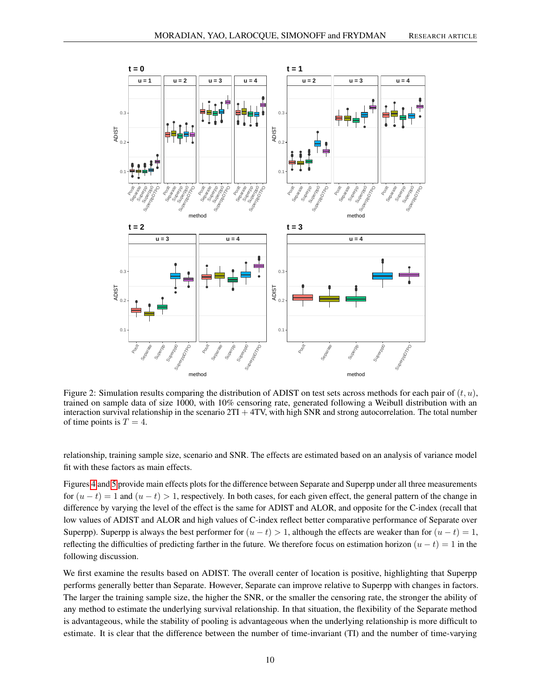<span id="page-9-0"></span>



Figure 2: Simulation results comparing the distribution of ADIST on test sets across methods for each pair of  $(t, u)$ , trained on sample data of size 1000, with 10% censoring rate, generated following a Weibull distribution with an interaction survival relationship in the scenario  $2TI + 4TV$ , with high SNR and strong autocorrelation. The total number of time points is  $T = 4$ .

relationship, training sample size, scenario and SNR. The effects are estimated based on an analysis of variance model fit with these factors as main effects.

Figures [4](#page-11-1) and [5](#page-11-2) provide main effects plots for the difference between Separate and Superpp under all three measurements for  $(u - t) = 1$  and  $(u - t) > 1$ , respectively. In both cases, for each given effect, the general pattern of the change in difference by varying the level of the effect is the same for ADIST and ALOR, and opposite for the C-index (recall that low values of ADIST and ALOR and high values of C-index reflect better comparative performance of Separate over Superpp). Superpp is always the best performer for  $(u - t) > 1$ , although the effects are weaker than for  $(u - t) = 1$ , reflecting the difficulties of predicting farther in the future. We therefore focus on estimation horizon  $(u - t) = 1$  in the following discussion.

We first examine the results based on ADIST. The overall center of location is positive, highlighting that Superpp performs generally better than Separate. However, Separate can improve relative to Superpp with changes in factors. The larger the training sample size, the higher the SNR, or the smaller the censoring rate, the stronger the ability of any method to estimate the underlying survival relationship. In that situation, the flexibility of the Separate method is advantageous, while the stability of pooling is advantageous when the underlying relationship is more difficult to estimate. It is clear that the difference between the number of time-invariant (TI) and the number of time-varying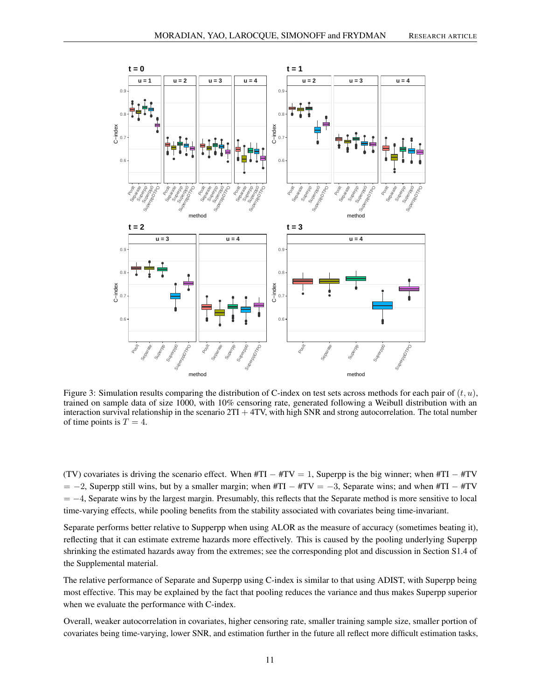

<span id="page-10-0"></span>Figure 3: Simulation results comparing the distribution of C-index on test sets across methods for each pair of  $(t, u)$ , trained on sample data of size 1000, with 10% censoring rate, generated following a Weibull distribution with an interaction survival relationship in the scenario  $2TI + 4TV$ , with high SNR and strong autocorrelation. The total number of time points is  $T = 4$ .

(TV) covariates is driving the scenario effect. When  $#TI - #TV = 1$ , Superpp is the big winner; when  $#TI - #TV$  $= -2$ , Superpp still wins, but by a smaller margin; when #TI  $-$  #TV =  $-3$ , Separate wins; and when #TI  $-$  #TV  $= -4$ , Separate wins by the largest margin. Presumably, this reflects that the Separate method is more sensitive to local time-varying effects, while pooling benefits from the stability associated with covariates being time-invariant.

Separate performs better relative to Supperpp when using ALOR as the measure of accuracy (sometimes beating it), reflecting that it can estimate extreme hazards more effectively. This is caused by the pooling underlying Superpp shrinking the estimated hazards away from the extremes; see the corresponding plot and discussion in Section S1.4 of the Supplemental material.

The relative performance of Separate and Superpp using C-index is similar to that using ADIST, with Superpp being most effective. This may be explained by the fact that pooling reduces the variance and thus makes Superpp superior when we evaluate the performance with C-index.

Overall, weaker autocorrelation in covariates, higher censoring rate, smaller training sample size, smaller portion of covariates being time-varying, lower SNR, and estimation further in the future all reflect more difficult estimation tasks,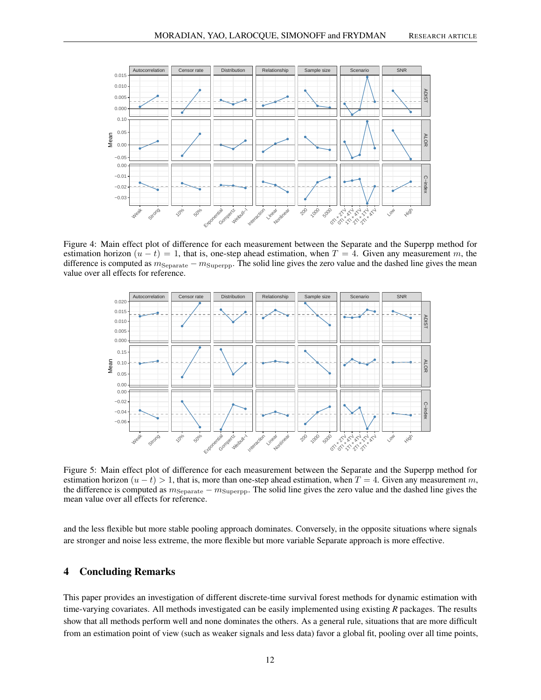

Figure 4: Main effect plot of difference for each measurement between the Separate and the Superpp method for estimation horizon  $(u - t) = 1$ , that is, one-step ahead estimation, when  $T = 4$ . Given any measurement m, the difference is computed as  $m_{\text{Separate}} - m_{\text{Superpp}}$ . The solid line gives the zero value and the dashed line gives the mean value over all effects for reference.

<span id="page-11-1"></span>

<span id="page-11-2"></span>Figure 5: Main effect plot of difference for each measurement between the Separate and the Superpp method for estimation horizon  $(u - t) > 1$ , that is, more than one-step ahead estimation, when  $T = 4$ . Given any measurement m, the difference is computed as  $m_{\text{Separate}} - m_{\text{Superpp}}$ . The solid line gives the zero value and the dashed line gives the mean value over all effects for reference.

and the less flexible but more stable pooling approach dominates. Conversely, in the opposite situations where signals are stronger and noise less extreme, the more flexible but more variable Separate approach is more effective.

## <span id="page-11-0"></span>4 Concluding Remarks

This paper provides an investigation of different discrete-time survival forest methods for dynamic estimation with time-varying covariates. All methods investigated can be easily implemented using existing *R* packages. The results show that all methods perform well and none dominates the others. As a general rule, situations that are more difficult from an estimation point of view (such as weaker signals and less data) favor a global fit, pooling over all time points,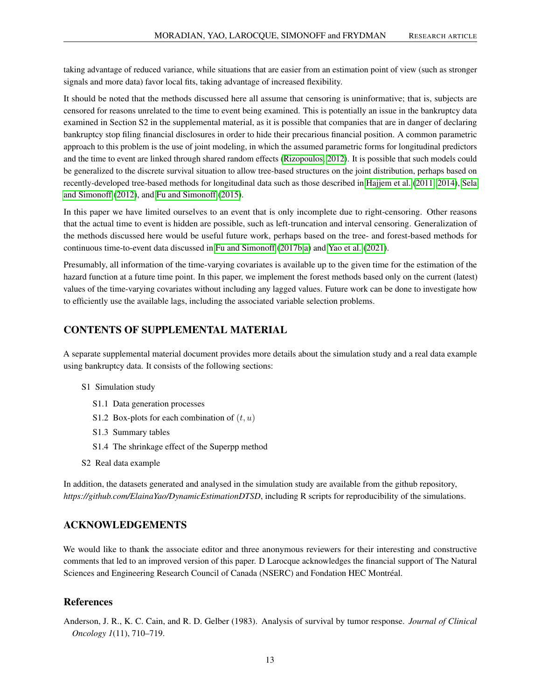taking advantage of reduced variance, while situations that are easier from an estimation point of view (such as stronger signals and more data) favor local fits, taking advantage of increased flexibility.

It should be noted that the methods discussed here all assume that censoring is uninformative; that is, subjects are censored for reasons unrelated to the time to event being examined. This is potentially an issue in the bankruptcy data examined in Section S2 in the supplemental material, as it is possible that companies that are in danger of declaring bankruptcy stop filing financial disclosures in order to hide their precarious financial position. A common parametric approach to this problem is the use of joint modeling, in which the assumed parametric forms for longitudinal predictors and the time to event are linked through shared random effects [\(Rizopoulos, 2012\)](#page-14-16). It is possible that such models could be generalized to the discrete survival situation to allow tree-based structures on the joint distribution, perhaps based on recently-developed tree-based methods for longitudinal data such as those described in [Hajjem et al.](#page-13-18) [\(2011,](#page-13-18) [2014\)](#page-13-19), [Sela](#page-14-17) [and Simonoff](#page-14-17) [\(2012\)](#page-14-17), and [Fu and Simonoff](#page-13-20) [\(2015\)](#page-13-20).

In this paper we have limited ourselves to an event that is only incomplete due to right-censoring. Other reasons that the actual time to event is hidden are possible, such as left-truncation and interval censoring. Generalization of the methods discussed here would be useful future work, perhaps based on the tree- and forest-based methods for continuous time-to-event data discussed in [Fu and Simonoff](#page-13-12) [\(2017b](#page-13-12)[,a\)](#page-13-21) and [Yao et al.](#page-14-18) [\(2021\)](#page-14-18).

Presumably, all information of the time-varying covariates is available up to the given time for the estimation of the hazard function at a future time point. In this paper, we implement the forest methods based only on the current (latest) values of the time-varying covariates without including any lagged values. Future work can be done to investigate how to efficiently use the available lags, including the associated variable selection problems.

# CONTENTS OF SUPPLEMENTAL MATERIAL

A separate supplemental material document provides more details about the simulation study and a real data example using bankruptcy data. It consists of the following sections:

- S1 Simulation study
	- S1.1 Data generation processes
	- S1.2 Box-plots for each combination of  $(t, u)$
	- S1.3 Summary tables
	- S1.4 The shrinkage effect of the Superpp method
- S2 Real data example

In addition, the datasets generated and analysed in the simulation study are available from the github repository, *https://github.com/ElainaYao/DynamicEstimationDTSD*, including R scripts for reproducibility of the simulations.

# ACKNOWLEDGEMENTS

We would like to thank the associate editor and three anonymous reviewers for their interesting and constructive comments that led to an improved version of this paper. D Larocque acknowledges the financial support of The Natural Sciences and Engineering Research Council of Canada (NSERC) and Fondation HEC Montréal.

## References

<span id="page-12-0"></span>Anderson, J. R., K. C. Cain, and R. D. Gelber (1983). Analysis of survival by tumor response. *Journal of Clinical Oncology 1*(11), 710–719.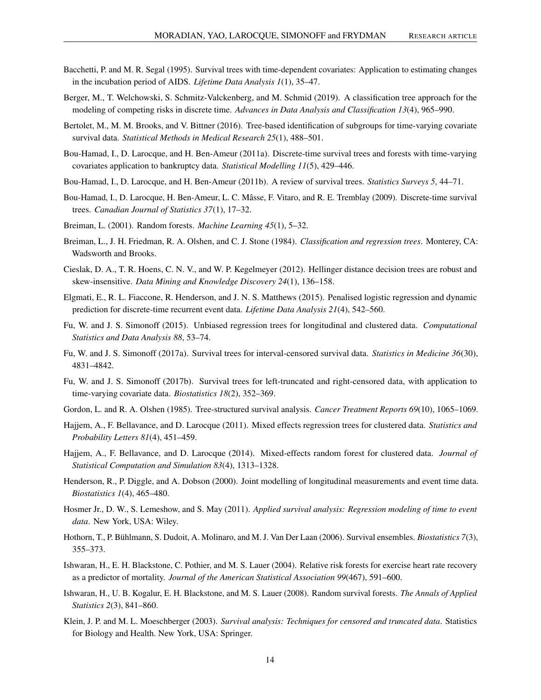- <span id="page-13-10"></span>Bacchetti, P. and M. R. Segal (1995). Survival trees with time-dependent covariates: Application to estimating changes in the incubation period of AIDS. *Lifetime Data Analysis 1*(1), 35–47.
- <span id="page-13-15"></span>Berger, M., T. Welchowski, S. Schmitz-Valckenberg, and M. Schmid (2019). A classification tree approach for the modeling of competing risks in discrete time. *Advances in Data Analysis and Classification 13*(4), 965–990.
- <span id="page-13-11"></span>Bertolet, M., M. M. Brooks, and V. Bittner (2016). Tree-based identification of subgroups for time-varying covariate survival data. *Statistical Methods in Medical Research 25*(1), 488–501.
- <span id="page-13-14"></span>Bou-Hamad, I., D. Larocque, and H. Ben-Ameur (2011a). Discrete-time survival trees and forests with time-varying covariates application to bankruptcy data. *Statistical Modelling 11*(5), 429–446.
- <span id="page-13-8"></span>Bou-Hamad, I., D. Larocque, and H. Ben-Ameur (2011b). A review of survival trees. *Statistics Surveys 5*, 44–71.
- <span id="page-13-13"></span>Bou-Hamad, I., D. Larocque, H. Ben-Ameur, L. C. Mâsse, F. Vitaro, and R. E. Tremblay (2009). Discrete-time survival trees. *Canadian Journal of Statistics 37*(1), 17–32.
- <span id="page-13-4"></span>Breiman, L. (2001). Random forests. *Machine Learning 45*(1), 5–32.
- <span id="page-13-2"></span>Breiman, L., J. H. Friedman, R. A. Olshen, and C. J. Stone (1984). *Classification and regression trees*. Monterey, CA: Wadsworth and Brooks.
- <span id="page-13-17"></span>Cieslak, D. A., T. R. Hoens, C. N. V., and W. P. Kegelmeyer (2012). Hellinger distance decision trees are robust and skew-insensitive. *Data Mining and Knowledge Discovery 24*(1), 136–158.
- <span id="page-13-16"></span>Elgmati, E., R. L. Fiaccone, R. Henderson, and J. N. S. Matthews (2015). Penalised logistic regression and dynamic prediction for discrete-time recurrent event data. *Lifetime Data Analysis 21*(4), 542–560.
- <span id="page-13-20"></span>Fu, W. and J. S. Simonoff (2015). Unbiased regression trees for longitudinal and clustered data. *Computational Statistics and Data Analysis 88*, 53–74.
- <span id="page-13-21"></span>Fu, W. and J. S. Simonoff (2017a). Survival trees for interval-censored survival data. *Statistics in Medicine 36*(30), 4831–4842.
- <span id="page-13-12"></span>Fu, W. and J. S. Simonoff (2017b). Survival trees for left-truncated and right-censored data, with application to time-varying covariate data. *Biostatistics 18*(2), 352–369.
- <span id="page-13-3"></span>Gordon, L. and R. A. Olshen (1985). Tree-structured survival analysis. *Cancer Treatment Reports 69*(10), 1065–1069.
- <span id="page-13-18"></span>Hajjem, A., F. Bellavance, and D. Larocque (2011). Mixed effects regression trees for clustered data. *Statistics and Probability Letters 81*(4), 451–459.
- <span id="page-13-19"></span>Hajjem, A., F. Bellavance, and D. Larocque (2014). Mixed-effects random forest for clustered data. *Journal of Statistical Computation and Simulation 83*(4), 1313–1328.
- <span id="page-13-9"></span>Henderson, R., P. Diggle, and A. Dobson (2000). Joint modelling of longitudinal measurements and event time data. *Biostatistics 1*(4), 465–480.
- <span id="page-13-1"></span>Hosmer Jr., D. W., S. Lemeshow, and S. May (2011). *Applied survival analysis: Regression modeling of time to event data*. New York, USA: Wiley.
- <span id="page-13-6"></span>Hothorn, T., P. Bühlmann, S. Dudoit, A. Molinaro, and M. J. Van Der Laan (2006). Survival ensembles. *Biostatistics 7*(3), 355–373.
- <span id="page-13-5"></span>Ishwaran, H., E. H. Blackstone, C. Pothier, and M. S. Lauer (2004). Relative risk forests for exercise heart rate recovery as a predictor of mortality. *Journal of the American Statistical Association 99*(467), 591–600.
- <span id="page-13-7"></span>Ishwaran, H., U. B. Kogalur, E. H. Blackstone, and M. S. Lauer (2008). Random survival forests. *The Annals of Applied Statistics 2*(3), 841–860.
- <span id="page-13-0"></span>Klein, J. P. and M. L. Moeschberger (2003). *Survival analysis: Techniques for censored and truncated data*. Statistics for Biology and Health. New York, USA: Springer.